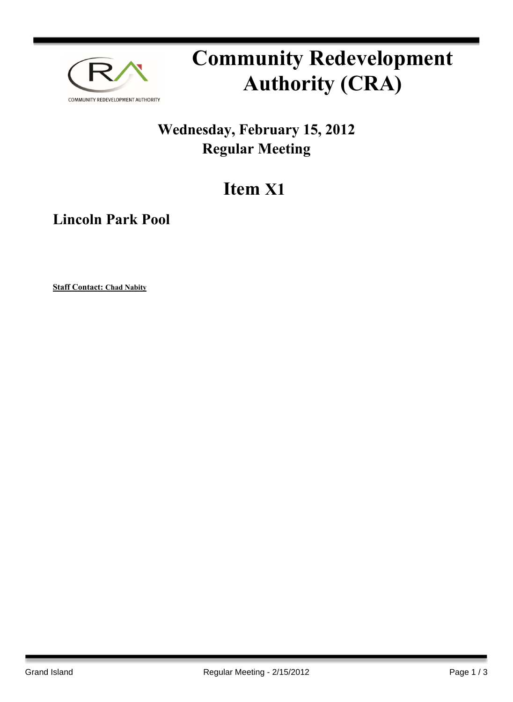

# **Community Redevelopment Authority (CRA)**

### **Wednesday, February 15, 2012 Regular Meeting**

## **Item X1**

**Lincoln Park Pool**

**Staff Contact: Chad Nabity**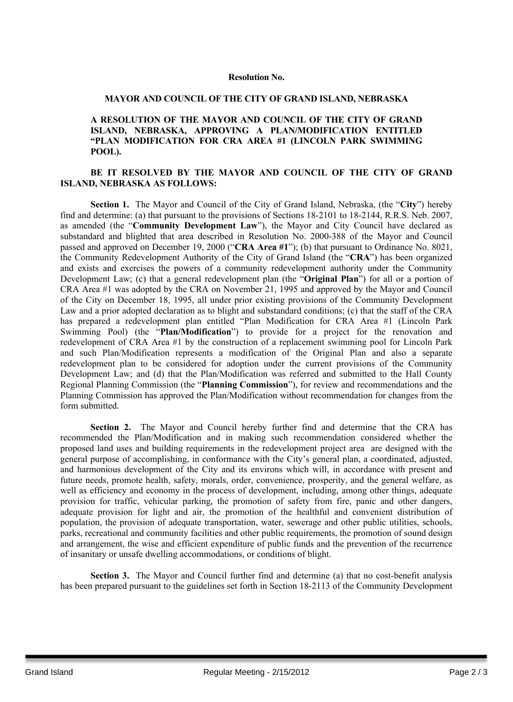#### **Resolution No.**

#### **MAYOR AND COUNCIL OF THE CITY OF GRAND ISLAND, NEBRASKA**

#### **A RESOLUTION OF THE MAYOR AND COUNCIL OF THE CITY OF GRAND ISLAND, NEBRASKA, APPROVING A PLAN/MODIFICATION ENTITLED "PLAN MODIFICATION FOR CRA AREA #1 (LINCOLN PARK SWIMMING POOL).**

#### **BE IT RESOLVED BY THE MAYOR AND COUNCIL OF THE CITY OF GRAND ISLAND, NEBRASKA AS FOLLOWS:**

**Section 1.** The Mayor and Council of the City of Grand Island, Nebraska, (the "**City**") hereby find and determine: (a) that pursuant to the provisions of Sections 18-2101 to 18-2144, R.R.S. Neb. 2007, as amended (the "**Community Development Law**"), the Mayor and City Council have declared as substandard and blighted that area described in Resolution No. 2000-388 of the Mayor and Council passed and approved on December 19, 2000 ("**CRA Area #1**"); (b) that pursuant to Ordinance No. 8021, the Community Redevelopment Authority of the City of Grand Island (the "**CRA**") has been organized and exists and exercises the powers of a community redevelopment authority under the Community Development Law; (c) that a general redevelopment plan (the "**Original Plan**") for all or a portion of CRA Area #1 was adopted by the CRA on November 21, 1995 and approved by the Mayor and Council of the City on December 18, 1995, all under prior existing provisions of the Community Development Law and a prior adopted declaration as to blight and substandard conditions; (c) that the staff of the CRA has prepared a redevelopment plan entitled "Plan Modification for CRA Area #1 (Lincoln Park Swimming Pool) (the "**Plan/Modification**") to provide for a project for the renovation and redevelopment of CRA Area #1 by the construction of a replacement swimming pool for Lincoln Park and such Plan/Modification represents a modification of the Original Plan and also a separate redevelopment plan to be considered for adoption under the current provisions of the Community Development Law; and (d) that the Plan/Modification was referred and submitted to the Hall County Regional Planning Commission (the "**Planning Commission**"), for review and recommendations and the Planning Commission has approved the Plan/Modification without recommendation for changes from the form submitted.

**Section 2.** The Mayor and Council hereby further find and determine that the CRA has recommended the Plan/Modification and in making such recommendation considered whether the proposed land uses and building requirements in the redevelopment project area are designed with the general purpose of accomplishing, in conformance with the City's general plan, a coordinated, adjusted, and harmonious development of the City and its environs which will, in accordance with present and future needs, promote health, safety, morals, order, convenience, prosperity, and the general welfare, as well as efficiency and economy in the process of development, including, among other things, adequate provision for traffic, vehicular parking, the promotion of safety from fire, panic and other dangers, adequate provision for light and air, the promotion of the healthful and convenient distribution of population, the provision of adequate transportation, water, sewerage and other public utilities, schools, parks, recreational and community facilities and other public requirements, the promotion of sound design and arrangement, the wise and efficient expenditure of public funds and the prevention of the recurrence of insanitary or unsafe dwelling accommodations, or conditions of blight.

**Section 3.** The Mayor and Council further find and determine (a) that no cost-benefit analysis has been prepared pursuant to the guidelines set forth in Section 18-2113 of the Community Development